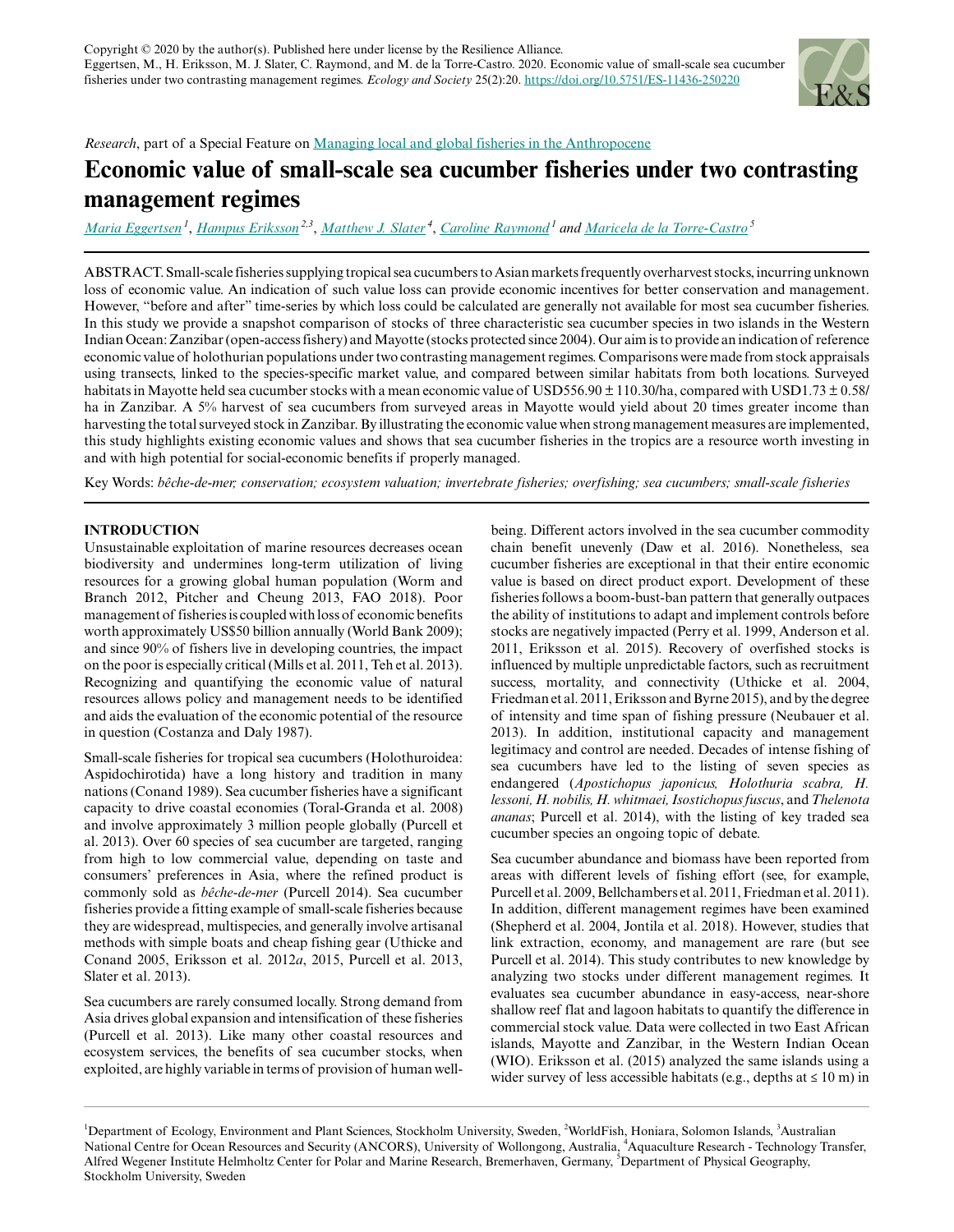

# *Research*, part of a Special Feature on [Managing local and global fisheries in the Anthropocene](https://www.ecologyandsociety.org/viewissue.php?sf=137)

# **Economic value of small-scale sea cucumber fisheries under two contrasting management regimes**

*[Maria Eggertsen](mailto:maria.eggertsen@su.se)<sup>1</sup>* , *[Hampus Eriksson](mailto:H.Eriksson@cgiar.org) 2,3* , *[Matthew J. Slater](mailto:mslater@awi.de)<sup>4</sup>* , *[Caroline Raymond](mailto:caroline.raymond@su.se)<sup>1</sup> and [Maricela de la Torre-Castro](mailto:maricela@natgeo.su.se)<sup>5</sup>*

ABSTRACT. Small-scale fisheries supplying tropical sea cucumbers to Asian markets frequently overharvest stocks, incurring unknown loss of economic value. An indication of such value loss can provide economic incentives for better conservation and management. However, "before and after" time-series by which loss could be calculated are generally not available for most sea cucumber fisheries. In this study we provide a snapshot comparison of stocks of three characteristic sea cucumber species in two islands in the Western Indian Ocean: Zanzibar (open-access fishery) and Mayotte (stocks protected since 2004). Our aim is to provide an indication of reference economic value of holothurian populations under two contrasting management regimes. Comparisons were made from stock appraisals using transects, linked to the species-specific market value, and compared between similar habitats from both locations. Surveyed habitats in Mayotte held sea cucumber stocks with a mean economic value of USD556.90 ± 110.30/ha, compared with USD1.73 ± 0.58/ ha in Zanzibar. A 5% harvest of sea cucumbers from surveyed areas in Mayotte would yield about 20 times greater income than harvesting the total surveyed stock in Zanzibar. By illustrating the economic value when strong management measures are implemented, this study highlights existing economic values and shows that sea cucumber fisheries in the tropics are a resource worth investing in and with high potential for social-economic benefits if properly managed.

Key Words: *bêche-de-mer; conservation; ecosystem valuation; invertebrate fisheries; overfishing; sea cucumbers; small-scale fisheries*

# **INTRODUCTION**

Unsustainable exploitation of marine resources decreases ocean biodiversity and undermines long-term utilization of living resources for a growing global human population (Worm and Branch 2012, Pitcher and Cheung 2013, FAO 2018). Poor management of fisheries is coupled with loss of economic benefits worth approximately US\$50 billion annually (World Bank 2009); and since 90% of fishers live in developing countries, the impact on the poor is especially critical (Mills et al. 2011, Teh et al. 2013). Recognizing and quantifying the economic value of natural resources allows policy and management needs to be identified and aids the evaluation of the economic potential of the resource in question (Costanza and Daly 1987).

Small-scale fisheries for tropical sea cucumbers (Holothuroidea: Aspidochirotida) have a long history and tradition in many nations (Conand 1989). Sea cucumber fisheries have a significant capacity to drive coastal economies (Toral-Granda et al. 2008) and involve approximately 3 million people globally (Purcell et al. 2013). Over 60 species of sea cucumber are targeted, ranging from high to low commercial value, depending on taste and consumers' preferences in Asia, where the refined product is commonly sold as *bêche-de-mer* (Purcell 2014). Sea cucumber fisheries provide a fitting example of small-scale fisheries because they are widespread, multispecies, and generally involve artisanal methods with simple boats and cheap fishing gear (Uthicke and Conand 2005, Eriksson et al. 2012*a*, 2015, Purcell et al. 2013, Slater et al. 2013).

Sea cucumbers are rarely consumed locally. Strong demand from Asia drives global expansion and intensification of these fisheries (Purcell et al. 2013). Like many other coastal resources and ecosystem services, the benefits of sea cucumber stocks, when exploited, are highly variable in terms of provision of human wellbeing. Different actors involved in the sea cucumber commodity chain benefit unevenly (Daw et al. 2016). Nonetheless, sea cucumber fisheries are exceptional in that their entire economic value is based on direct product export. Development of these fisheries follows a boom-bust-ban pattern that generally outpaces the ability of institutions to adapt and implement controls before stocks are negatively impacted (Perry et al. 1999, Anderson et al. 2011, Eriksson et al. 2015). Recovery of overfished stocks is influenced by multiple unpredictable factors, such as recruitment success, mortality, and connectivity (Uthicke et al. 2004, Friedman et al. 2011, Eriksson and Byrne 2015), and by the degree of intensity and time span of fishing pressure (Neubauer et al. 2013). In addition, institutional capacity and management legitimacy and control are needed. Decades of intense fishing of sea cucumbers have led to the listing of seven species as endangered (*Apostichopus japonicus, Holothuria scabra, H. lessoni, H. nobilis, H. whitmaei, Isostichopus fuscus*, and *Thelenota ananas*; Purcell et al. 2014), with the listing of key traded sea cucumber species an ongoing topic of debate.

Sea cucumber abundance and biomass have been reported from areas with different levels of fishing effort (see, for example, Purcell et al. 2009, Bellchambers et al. 2011, Friedman et al. 2011). In addition, different management regimes have been examined (Shepherd et al. 2004, Jontila et al. 2018). However, studies that link extraction, economy, and management are rare (but see Purcell et al. 2014). This study contributes to new knowledge by analyzing two stocks under different management regimes. It evaluates sea cucumber abundance in easy-access, near-shore shallow reef flat and lagoon habitats to quantify the difference in commercial stock value. Data were collected in two East African islands, Mayotte and Zanzibar, in the Western Indian Ocean (WIO). Eriksson et al. (2015) analyzed the same islands using a wider survey of less accessible habitats (e.g., depths at  $\leq 10$  m) in

<sup>&</sup>lt;sup>1</sup>Department of Ecology, Environment and Plant Sciences, Stockholm University, Sweden, <sup>2</sup>WorldFish, Honiara, Solomon Islands, <sup>3</sup>Australian National Centre for Ocean Resources and Security (ANCORS), University of Wollongong, Australia, <sup>4</sup>Aquaculture Research - Technology Transfer, Alfred Wegener Institute Helmholtz Center for Polar and Marine Research, Bremerhaven, Germany, <sup>5</sup>Department of Physical Geography, Stockholm University, Sweden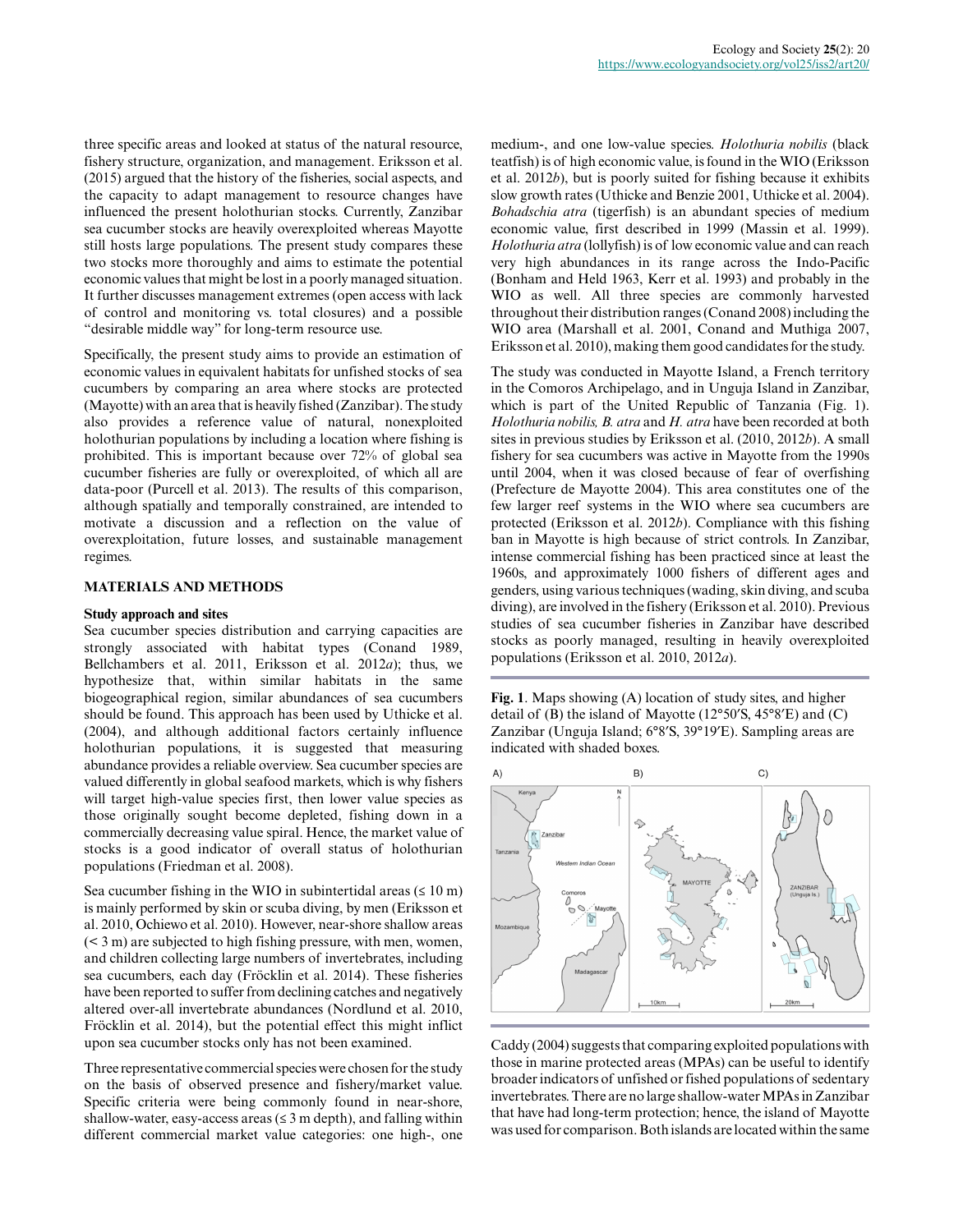three specific areas and looked at status of the natural resource, fishery structure, organization, and management. Eriksson et al. (2015) argued that the history of the fisheries, social aspects, and the capacity to adapt management to resource changes have influenced the present holothurian stocks. Currently, Zanzibar sea cucumber stocks are heavily overexploited whereas Mayotte still hosts large populations. The present study compares these two stocks more thoroughly and aims to estimate the potential economic values that might be lost in a poorly managed situation. It further discusses management extremes (open access with lack of control and monitoring vs. total closures) and a possible "desirable middle way" for long-term resource use.

Specifically, the present study aims to provide an estimation of economic values in equivalent habitats for unfished stocks of sea cucumbers by comparing an area where stocks are protected (Mayotte) with an area that is heavily fished (Zanzibar). The study also provides a reference value of natural, nonexploited holothurian populations by including a location where fishing is prohibited. This is important because over 72% of global sea cucumber fisheries are fully or overexploited, of which all are data-poor (Purcell et al. 2013). The results of this comparison, although spatially and temporally constrained, are intended to motivate a discussion and a reflection on the value of overexploitation, future losses, and sustainable management regimes.

## **MATERIALS AND METHODS**

#### **Study approach and sites**

Sea cucumber species distribution and carrying capacities are strongly associated with habitat types (Conand 1989, Bellchambers et al. 2011, Eriksson et al. 2012*a*); thus, we hypothesize that, within similar habitats in the same biogeographical region, similar abundances of sea cucumbers should be found. This approach has been used by Uthicke et al. (2004), and although additional factors certainly influence holothurian populations, it is suggested that measuring abundance provides a reliable overview. Sea cucumber species are valued differently in global seafood markets, which is why fishers will target high-value species first, then lower value species as those originally sought become depleted, fishing down in a commercially decreasing value spiral. Hence, the market value of stocks is a good indicator of overall status of holothurian populations (Friedman et al. 2008).

Sea cucumber fishing in the WIO in subintertidal areas  $(\leq 10 \text{ m})$ is mainly performed by skin or scuba diving, by men (Eriksson et al. 2010, Ochiewo et al. 2010). However, near-shore shallow areas (< 3 m) are subjected to high fishing pressure, with men, women, and children collecting large numbers of invertebrates, including sea cucumbers, each day (Fröcklin et al. 2014). These fisheries have been reported to suffer from declining catches and negatively altered over-all invertebrate abundances (Nordlund et al. 2010, Fröcklin et al. 2014), but the potential effect this might inflict upon sea cucumber stocks only has not been examined.

Three representative commercial species were chosen for the study on the basis of observed presence and fishery/market value. Specific criteria were being commonly found in near-shore, shallow-water, easy-access areas  $(\leq 3 \text{ m depth})$ , and falling within different commercial market value categories: one high-, one medium-, and one low-value species. *Holothuria nobilis* (black teatfish) is of high economic value, is found in the WIO (Eriksson et al. 2012*b*), but is poorly suited for fishing because it exhibits slow growth rates (Uthicke and Benzie 2001, Uthicke et al. 2004). *Bohadschia atra* (tigerfish) is an abundant species of medium economic value, first described in 1999 (Massin et al. 1999). *Holothuria atra* (lollyfish) is of low economic value and can reach very high abundances in its range across the Indo-Pacific (Bonham and Held 1963, Kerr et al. 1993) and probably in the WIO as well. All three species are commonly harvested throughout their distribution ranges (Conand 2008) including the WIO area (Marshall et al. 2001, Conand and Muthiga 2007, Eriksson et al. 2010), making them good candidates for the study.

The study was conducted in Mayotte Island, a French territory in the Comoros Archipelago, and in Unguja Island in Zanzibar, which is part of the United Republic of Tanzania (Fig. 1). *Holothuria nobilis, B. atra* and *H. atra* have been recorded at both sites in previous studies by Eriksson et al. (2010, 2012*b*). A small fishery for sea cucumbers was active in Mayotte from the 1990s until 2004, when it was closed because of fear of overfishing (Prefecture de Mayotte 2004). This area constitutes one of the few larger reef systems in the WIO where sea cucumbers are protected (Eriksson et al. 2012*b*). Compliance with this fishing ban in Mayotte is high because of strict controls. In Zanzibar, intense commercial fishing has been practiced since at least the 1960s, and approximately 1000 fishers of different ages and genders, using various techniques (wading, skin diving, and scuba diving), are involved in the fishery (Eriksson et al. 2010). Previous studies of sea cucumber fisheries in Zanzibar have described stocks as poorly managed, resulting in heavily overexploited populations (Eriksson et al. 2010, 2012*a*).

**Fig. 1**. Maps showing (A) location of study sites, and higher detail of (B) the island of Mayotte (12°50′S, 45°8′E) and (C) Zanzibar (Unguja Island; 6°8′S, 39°19′E). Sampling areas are indicated with shaded boxes.



Caddy (2004) suggests that comparing exploited populations with those in marine protected areas (MPAs) can be useful to identify broader indicators of unfished or fished populations of sedentary invertebrates. There are no large shallow-water MPAs in Zanzibar that have had long-term protection; hence, the island of Mayotte was used for comparison. Both islands are located within the same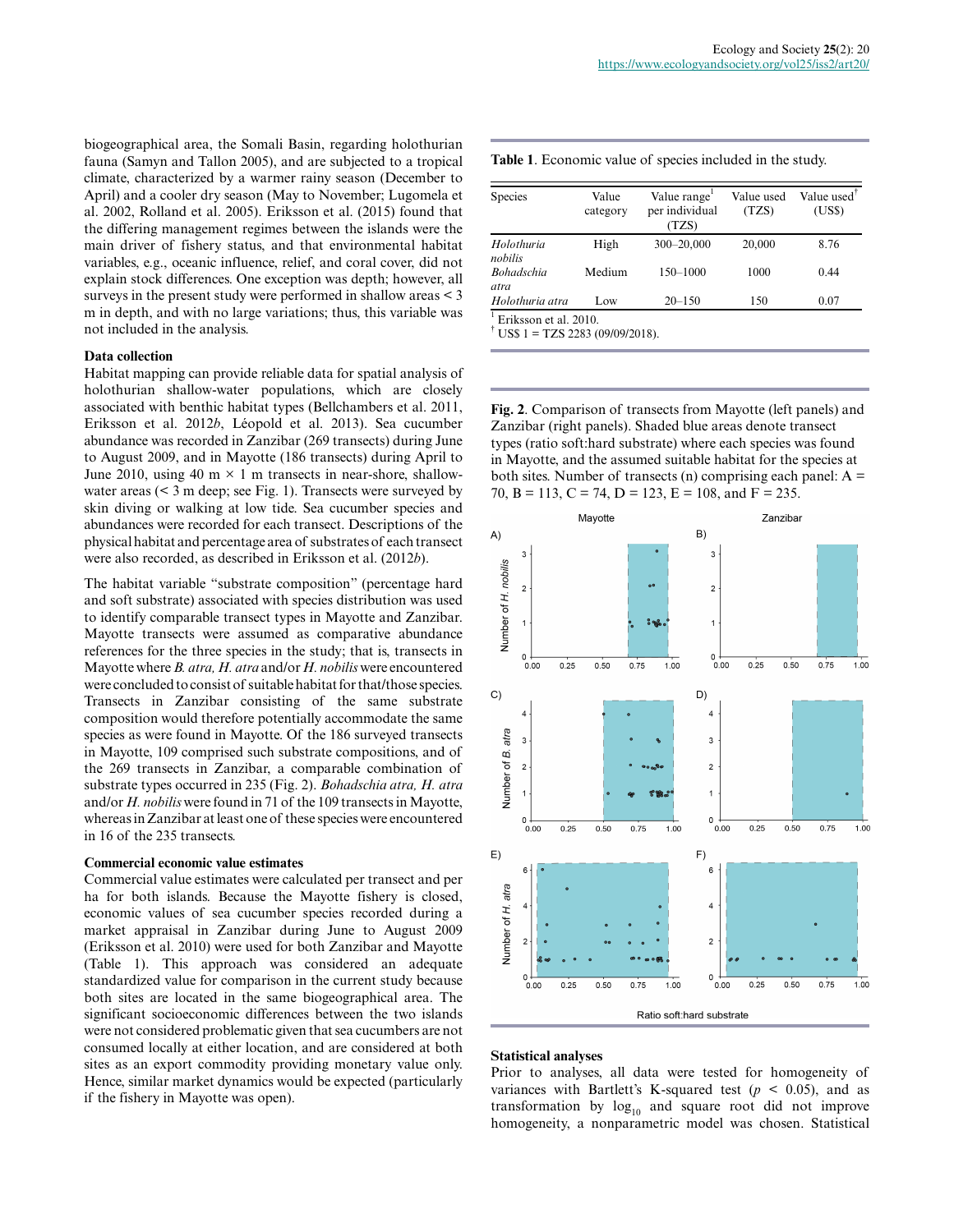biogeographical area, the Somali Basin, regarding holothurian fauna (Samyn and Tallon 2005), and are subjected to a tropical climate, characterized by a warmer rainy season (December to April) and a cooler dry season (May to November; Lugomela et al. 2002, Rolland et al. 2005). Eriksson et al. (2015) found that the differing management regimes between the islands were the main driver of fishery status, and that environmental habitat variables, e.g., oceanic influence, relief, and coral cover, did not explain stock differences. One exception was depth; however, all surveys in the present study were performed in shallow areas < 3 m in depth, and with no large variations; thus, this variable was not included in the analysis.

#### **Data collection**

Habitat mapping can provide reliable data for spatial analysis of holothurian shallow-water populations, which are closely associated with benthic habitat types (Bellchambers et al. 2011, Eriksson et al. 2012*b*, Léopold et al. 2013). Sea cucumber abundance was recorded in Zanzibar (269 transects) during June to August 2009, and in Mayotte (186 transects) during April to June 2010, using 40 m  $\times$  1 m transects in near-shore, shallowwater areas (< 3 m deep; see Fig. 1). Transects were surveyed by skin diving or walking at low tide. Sea cucumber species and abundances were recorded for each transect. Descriptions of the physical habitat and percentage area of substrates of each transect were also recorded, as described in Eriksson et al. (2012*b*).

The habitat variable "substrate composition" (percentage hard and soft substrate) associated with species distribution was used to identify comparable transect types in Mayotte and Zanzibar. Mayotte transects were assumed as comparative abundance references for the three species in the study; that is, transects in Mayotte where *B. atra, H. atra* and/or *H. nobilis* were encountered were concluded to consist of suitable habitat for that/those species. Transects in Zanzibar consisting of the same substrate composition would therefore potentially accommodate the same species as were found in Mayotte. Of the 186 surveyed transects in Mayotte, 109 comprised such substrate compositions, and of the 269 transects in Zanzibar, a comparable combination of substrate types occurred in 235 (Fig. 2). *Bohadschia atra, H. atra* and/or *H. nobilis* were found in 71 of the 109 transects in Mayotte, whereas in Zanzibar at least one of these species were encountered in 16 of the 235 transects.

#### **Commercial economic value estimates**

Commercial value estimates were calculated per transect and per ha for both islands. Because the Mayotte fishery is closed, economic values of sea cucumber species recorded during a market appraisal in Zanzibar during June to August 2009 (Eriksson et al. 2010) were used for both Zanzibar and Mayotte (Table 1). This approach was considered an adequate standardized value for comparison in the current study because both sites are located in the same biogeographical area. The significant socioeconomic differences between the two islands were not considered problematic given that sea cucumbers are not consumed locally at either location, and are considered at both sites as an export commodity providing monetary value only. Hence, similar market dynamics would be expected (particularly if the fishery in Mayotte was open).

| <b>Species</b>            | Value<br>category | Value range<br>per individual<br>(TZS) | Value used<br>(TZS) | Value used <sup>1</sup><br>(US\$) |
|---------------------------|-------------------|----------------------------------------|---------------------|-----------------------------------|
| Holothuria<br>nobilis     | High              | 300-20,000                             | 20,000              | 8.76                              |
| <b>Bohadschia</b><br>atra | Medium            | $150 - 1000$                           | 1000                | 0.44                              |
| Holothuria atra           | Low               | $20 - 150$                             | 150                 | 0.07                              |

<sup>1</sup> Eriksson et al. 2010.<br><sup>†</sup> US\$ 1 = TZS 2283 (09/09/2018).

**Fig. 2**. Comparison of transects from Mayotte (left panels) and Zanzibar (right panels). Shaded blue areas denote transect types (ratio soft:hard substrate) where each species was found in Mayotte, and the assumed suitable habitat for the species at both sites. Number of transects (n) comprising each panel:  $A =$ 70, B = 113, C = 74, D = 123, E = 108, and F = 235.



#### **Statistical analyses**

Prior to analyses, all data were tested for homogeneity of variances with Bartlett's K-squared test ( $p < 0.05$ ), and as transformation by  $log_{10}$  and square root did not improve homogeneity, a nonparametric model was chosen. Statistical

**Table 1**. Economic value of species included in the study.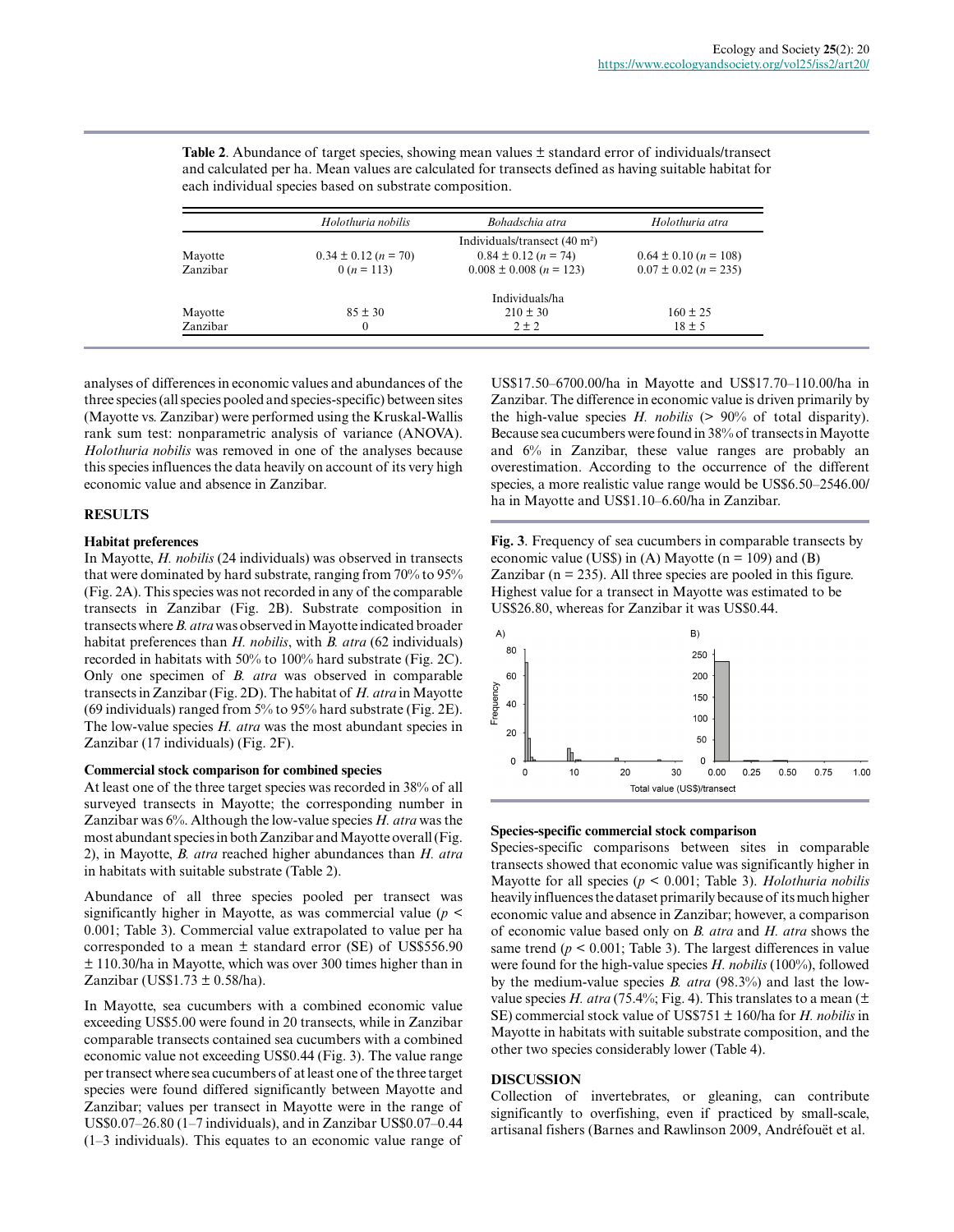|          | Holothuria nobilis       | Bohadschia atra                         | Holothuria atra           |
|----------|--------------------------|-----------------------------------------|---------------------------|
|          |                          | Individuals/transect $(40 \text{ m}^2)$ |                           |
| Mayotte  | $0.34 \pm 0.12$ (n = 70) | $0.84 \pm 0.12$ (n = 74)                | $0.64 \pm 0.10$ (n = 108) |
| Zanzibar | $0(n = 113)$             | $0.008 \pm 0.008$ (n = 123)             | $0.07 \pm 0.02$ (n = 235) |
|          |                          | Individuals/ha                          |                           |
| Mayotte  | $85 \pm 30$              | $210 \pm 30$                            | $160 \pm 25$              |
| Zanzibar | $\boldsymbol{0}$         | $2 \pm 2$                               | $18 \pm 5$                |

**Table 2.** Abundance of target species, showing mean values  $\pm$  standard error of individuals/transect and calculated per ha. Mean values are calculated for transects defined as having suitable habitat for each individual species based on substrate composition.

analyses of differences in economic values and abundances of the three species (all species pooled and species-specific) between sites (Mayotte vs. Zanzibar) were performed using the Kruskal-Wallis rank sum test: nonparametric analysis of variance (ANOVA). *Holothuria nobilis* was removed in one of the analyses because this species influences the data heavily on account of its very high economic value and absence in Zanzibar.

# **RESULTS**

# **Habitat preferences**

In Mayotte, *H. nobilis* (24 individuals) was observed in transects that were dominated by hard substrate, ranging from 70% to 95% (Fig. 2A). This species was not recorded in any of the comparable transects in Zanzibar (Fig. 2B). Substrate composition in transects where *B. atra* was observed in Mayotte indicated broader habitat preferences than *H. nobilis*, with *B. atra* (62 individuals) recorded in habitats with 50% to 100% hard substrate (Fig. 2C). Only one specimen of *B. atra* was observed in comparable transects in Zanzibar (Fig. 2D). The habitat of *H. atra* in Mayotte (69 individuals) ranged from 5% to 95% hard substrate (Fig. 2E). The low-value species *H. atra* was the most abundant species in Zanzibar (17 individuals) (Fig. 2F).

## **Commercial stock comparison for combined species**

At least one of the three target species was recorded in 38% of all surveyed transects in Mayotte; the corresponding number in Zanzibar was 6%. Although the low-value species *H. atra* was the most abundant species in both Zanzibar and Mayotte overall (Fig. 2), in Mayotte, *B. atra* reached higher abundances than *H. atra* in habitats with suitable substrate (Table 2).

Abundance of all three species pooled per transect was significantly higher in Mayotte, as was commercial value (*p* < 0.001; Table 3). Commercial value extrapolated to value per ha corresponded to a mean  $\pm$  standard error (SE) of US\$556.90 ± 110.30/ha in Mayotte, which was over 300 times higher than in Zanzibar (US\$1.73  $\pm$  0.58/ha).

In Mayotte, sea cucumbers with a combined economic value exceeding US\$5.00 were found in 20 transects, while in Zanzibar comparable transects contained sea cucumbers with a combined economic value not exceeding US\$0.44 (Fig. 3). The value range per transect where sea cucumbers of at least one of the three target species were found differed significantly between Mayotte and Zanzibar; values per transect in Mayotte were in the range of US\$0.07–26.80 (1–7 individuals), and in Zanzibar US\$0.07–0.44 (1–3 individuals). This equates to an economic value range of US\$17.50–6700.00/ha in Mayotte and US\$17.70–110.00/ha in Zanzibar. The difference in economic value is driven primarily by the high-value species *H. nobilis* (> 90% of total disparity). Because sea cucumbers were found in 38% of transects in Mayotte and 6% in Zanzibar, these value ranges are probably an overestimation. According to the occurrence of the different species, a more realistic value range would be US\$6.50–2546.00/ ha in Mayotte and US\$1.10–6.60/ha in Zanzibar.

**Fig. 3**. Frequency of sea cucumbers in comparable transects by economic value (US\$) in (A) Mayotte ( $n = 109$ ) and (B) Zanzibar ( $n = 235$ ). All three species are pooled in this figure. Highest value for a transect in Mayotte was estimated to be US\$26.80, whereas for Zanzibar it was US\$0.44.



# **Species-specific commercial stock comparison**

Species-specific comparisons between sites in comparable transects showed that economic value was significantly higher in Mayotte for all species (*p* < 0.001; Table 3). *Holothuria nobilis* heavily influences the dataset primarily because of its much higher economic value and absence in Zanzibar; however, a comparison of economic value based only on *B. atra* and *H. atra* shows the same trend  $(p < 0.001$ ; Table 3). The largest differences in value were found for the high-value species *H. nobilis* (100%), followed by the medium-value species *B. atra* (98.3%) and last the lowvalue species *H. atra* (75.4%; Fig. 4). This translates to a mean ( $\pm$ SE) commercial stock value of US\$751 ± 160/ha for *H. nobilis* in Mayotte in habitats with suitable substrate composition, and the other two species considerably lower (Table 4).

# **DISCUSSION**

Collection of invertebrates, or gleaning, can contribute significantly to overfishing, even if practiced by small-scale, artisanal fishers (Barnes and Rawlinson 2009, Andréfouët et al.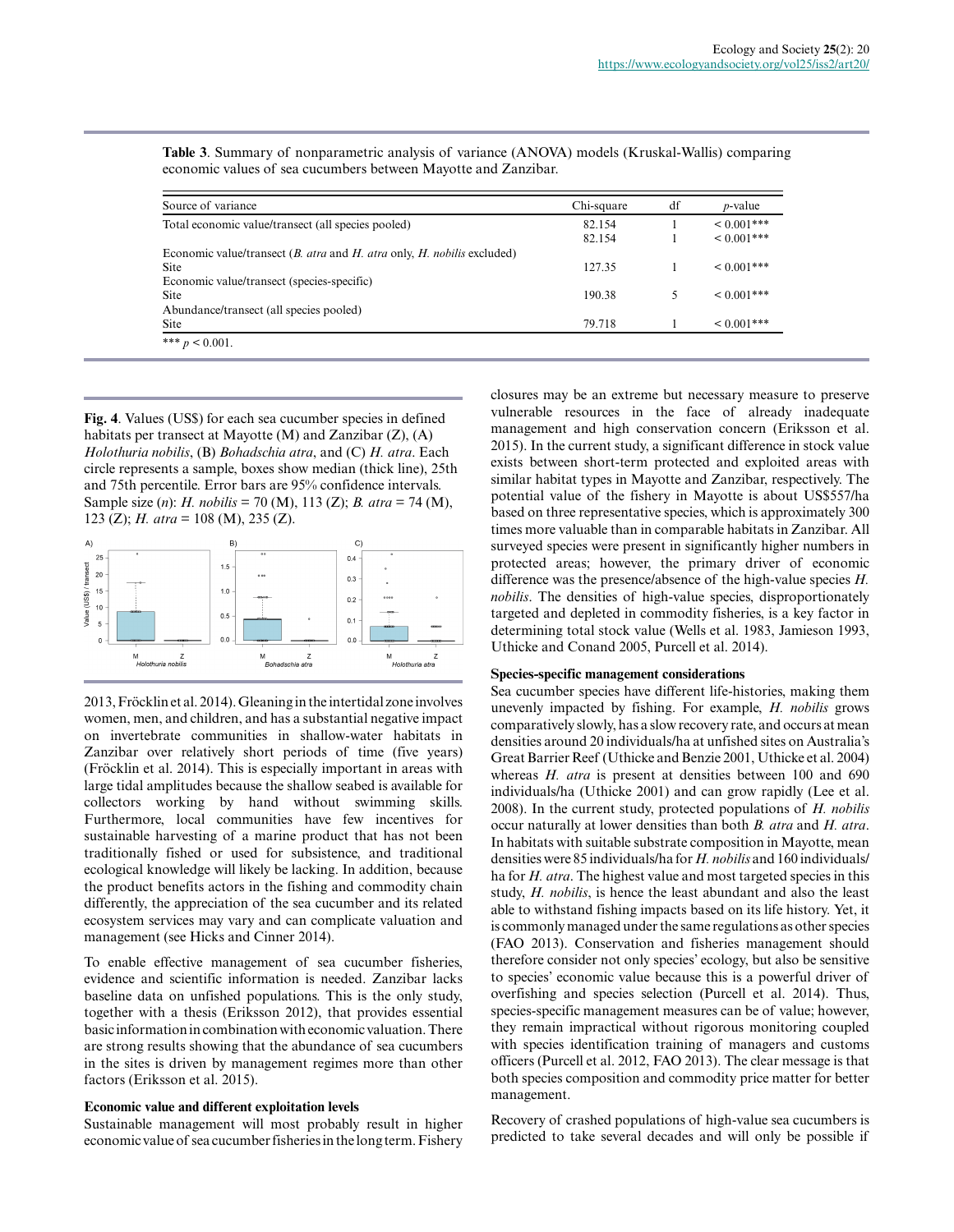| Source of variance                                                                            | Chi-square | df | <i>p</i> -value  |
|-----------------------------------------------------------------------------------------------|------------|----|------------------|
| Total economic value/transect (all species pooled)                                            | 82.154     |    | ${}< 0.001$ ***  |
|                                                                                               | 82.154     |    | $< 0.001$ ***    |
| Economic value/transect ( <i>B. atra</i> and <i>H. atra</i> only, <i>H. nobilis</i> excluded) |            |    |                  |
| <b>Site</b>                                                                                   | 127.35     |    | $\leq 0.001$ *** |
| Economic value/transect (species-specific)                                                    |            |    |                  |
| <b>Site</b>                                                                                   | 190.38     |    | $0.001***$       |
| Abundance/transect (all species pooled)                                                       |            |    |                  |
| Site                                                                                          | 79.718     |    | $\leq 0.001$ *** |

**Table 3**. Summary of nonparametric analysis of variance (ANOVA) models (Kruskal-Wallis) comparing economic values of sea cucumbers between Mayotte and Zanzibar.

**Fig. 4**. Values (US\$) for each sea cucumber species in defined habitats per transect at Mayotte (M) and Zanzibar (Z), (A) *Holothuria nobilis*, (B) *Bohadschia atra*, and (C) *H. atra*. Each circle represents a sample, boxes show median (thick line), 25th and 75th percentile. Error bars are 95% confidence intervals. Sample size (*n*): *H. nobilis* = 70 (M), 113 (Z); *B. atra* = 74 (M), 123 (Z); *H. atra* = 108 (M), 235 (Z).



2013, Fröcklin et al. 2014). Gleaning in the intertidal zone involves women, men, and children, and has a substantial negative impact on invertebrate communities in shallow-water habitats in Zanzibar over relatively short periods of time (five years) (Fröcklin et al. 2014). This is especially important in areas with large tidal amplitudes because the shallow seabed is available for collectors working by hand without swimming skills. Furthermore, local communities have few incentives for sustainable harvesting of a marine product that has not been traditionally fished or used for subsistence, and traditional ecological knowledge will likely be lacking. In addition, because the product benefits actors in the fishing and commodity chain differently, the appreciation of the sea cucumber and its related ecosystem services may vary and can complicate valuation and management (see Hicks and Cinner 2014).

To enable effective management of sea cucumber fisheries, evidence and scientific information is needed. Zanzibar lacks baseline data on unfished populations. This is the only study, together with a thesis (Eriksson 2012), that provides essential basic information in combination with economic valuation. There are strong results showing that the abundance of sea cucumbers in the sites is driven by management regimes more than other factors (Eriksson et al. 2015).

## **Economic value and different exploitation levels**

Sustainable management will most probably result in higher economic value of sea cucumber fisheries in the long term. Fishery closures may be an extreme but necessary measure to preserve vulnerable resources in the face of already inadequate management and high conservation concern (Eriksson et al. 2015). In the current study, a significant difference in stock value exists between short-term protected and exploited areas with similar habitat types in Mayotte and Zanzibar, respectively. The potential value of the fishery in Mayotte is about US\$557/ha based on three representative species, which is approximately 300 times more valuable than in comparable habitats in Zanzibar. All surveyed species were present in significantly higher numbers in protected areas; however, the primary driver of economic difference was the presence/absence of the high-value species *H. nobilis*. The densities of high-value species, disproportionately targeted and depleted in commodity fisheries, is a key factor in determining total stock value (Wells et al. 1983, Jamieson 1993, Uthicke and Conand 2005, Purcell et al. 2014).

#### **Species-specific management considerations**

Sea cucumber species have different life-histories, making them unevenly impacted by fishing. For example, *H. nobilis* grows comparatively slowly, has a slow recovery rate, and occurs at mean densities around 20 individuals/ha at unfished sites on Australia's Great Barrier Reef (Uthicke and Benzie 2001, Uthicke et al. 2004) whereas *H. atra* is present at densities between 100 and 690 individuals/ha (Uthicke 2001) and can grow rapidly (Lee et al. 2008). In the current study, protected populations of *H. nobilis* occur naturally at lower densities than both *B. atra* and *H. atra*. In habitats with suitable substrate composition in Mayotte, mean densities were 85 individuals/ha for *H. nobilis* and 160 individuals/ ha for *H. atra*. The highest value and most targeted species in this study, *H. nobilis*, is hence the least abundant and also the least able to withstand fishing impacts based on its life history. Yet, it is commonly managed under the same regulations as other species (FAO 2013). Conservation and fisheries management should therefore consider not only species' ecology, but also be sensitive to species' economic value because this is a powerful driver of overfishing and species selection (Purcell et al. 2014). Thus, species-specific management measures can be of value; however, they remain impractical without rigorous monitoring coupled with species identification training of managers and customs officers (Purcell et al. 2012, FAO 2013). The clear message is that both species composition and commodity price matter for better management.

Recovery of crashed populations of high-value sea cucumbers is predicted to take several decades and will only be possible if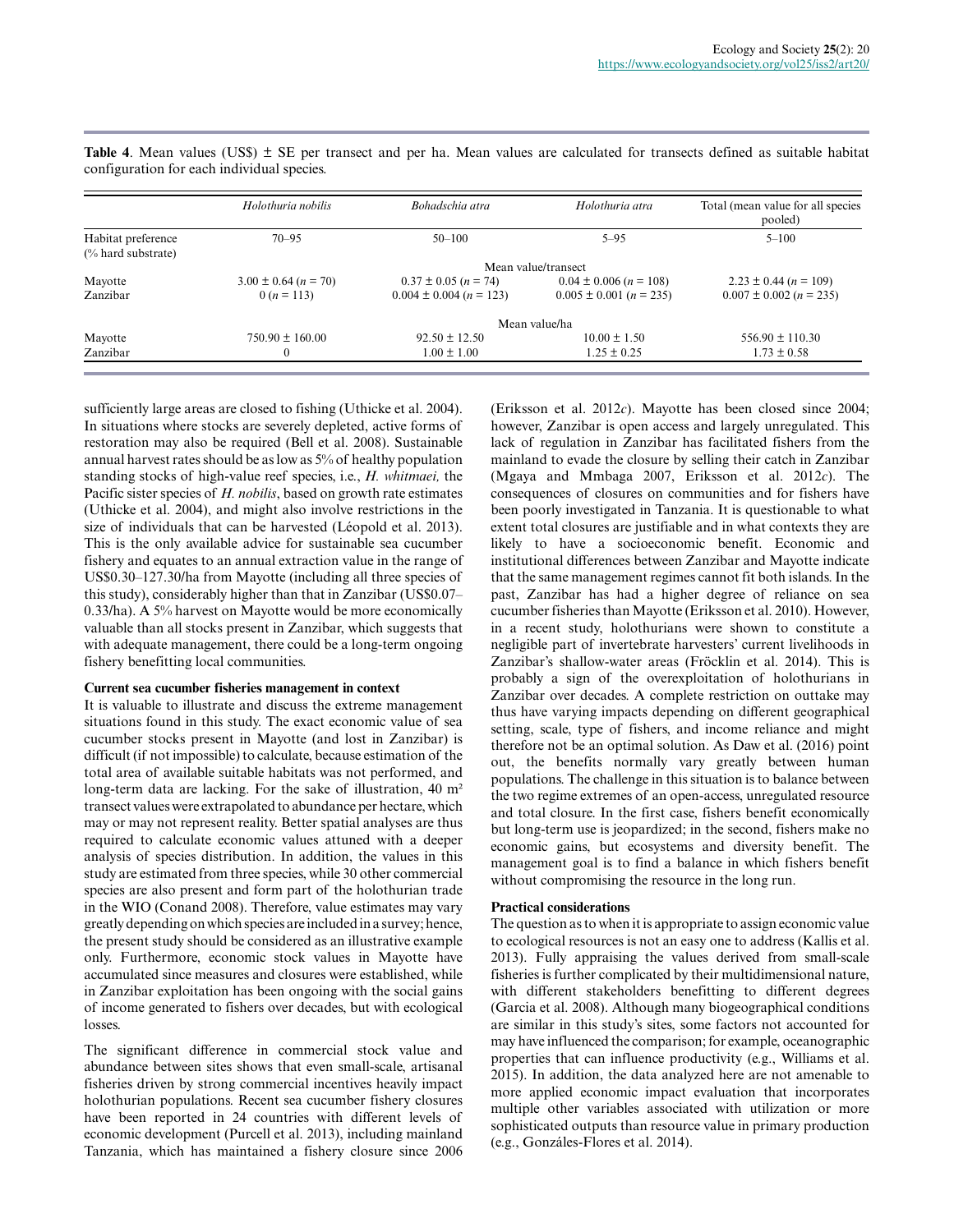|                                          | Holothuria nobilis       | Bohadschia atra             | Holothuria atra             | Total (mean value for all species<br>pooled) |  |
|------------------------------------------|--------------------------|-----------------------------|-----------------------------|----------------------------------------------|--|
| Habitat preference<br>(% hard substrate) | $70 - 95$                | $50 - 100$                  | $5 - 95$                    | $5 - 100$                                    |  |
|                                          | Mean value/transect      |                             |                             |                                              |  |
| Mayotte                                  | $3.00 \pm 0.64$ (n = 70) | $0.37 \pm 0.05$ (n = 74)    | $0.04 \pm 0.006$ (n = 108)  | $2.23 \pm 0.44$ (n = 109)                    |  |
| Zanzibar                                 | $0(n=113)$               | $0.004 \pm 0.004$ (n = 123) | $0.005 \pm 0.001$ (n = 235) | $0.007 \pm 0.002$ (n = 235)                  |  |
|                                          | Mean value/ha            |                             |                             |                                              |  |
| Mayotte                                  | $750.90 \pm 160.00$      | $92.50 \pm 12.50$           | $10.00 \pm 1.50$            | $556.90 \pm 110.30$                          |  |
| Zanzibar                                 | $\Omega$                 | $1.00 \pm 1.00$             | $1.25 \pm 0.25$             | $1.73 \pm 0.58$                              |  |

Table 4. Mean values (US\$)  $\pm$  SE per transect and per ha. Mean values are calculated for transects defined as suitable habitat configuration for each individual species.

sufficiently large areas are closed to fishing (Uthicke et al. 2004). In situations where stocks are severely depleted, active forms of restoration may also be required (Bell et al. 2008). Sustainable annual harvest rates should be as low as 5% of healthy population standing stocks of high-value reef species, i.e., *H. whitmaei,* the Pacific sister species of *H. nobilis*, based on growth rate estimates (Uthicke et al. 2004), and might also involve restrictions in the size of individuals that can be harvested (Léopold et al. 2013). This is the only available advice for sustainable sea cucumber fishery and equates to an annual extraction value in the range of US\$0.30–127.30/ha from Mayotte (including all three species of this study), considerably higher than that in Zanzibar (US\$0.07– 0.33/ha). A 5% harvest on Mayotte would be more economically valuable than all stocks present in Zanzibar, which suggests that with adequate management, there could be a long-term ongoing fishery benefitting local communities.

## **Current sea cucumber fisheries management in context**

It is valuable to illustrate and discuss the extreme management situations found in this study. The exact economic value of sea cucumber stocks present in Mayotte (and lost in Zanzibar) is difficult (if not impossible) to calculate, because estimation of the total area of available suitable habitats was not performed, and long-term data are lacking. For the sake of illustration, 40 m² transect values were extrapolated to abundance per hectare, which may or may not represent reality. Better spatial analyses are thus required to calculate economic values attuned with a deeper analysis of species distribution. In addition, the values in this study are estimated from three species, while 30 other commercial species are also present and form part of the holothurian trade in the WIO (Conand 2008). Therefore, value estimates may vary greatly depending on which species are included in a survey; hence, the present study should be considered as an illustrative example only. Furthermore, economic stock values in Mayotte have accumulated since measures and closures were established, while in Zanzibar exploitation has been ongoing with the social gains of income generated to fishers over decades, but with ecological losses.

The significant difference in commercial stock value and abundance between sites shows that even small-scale, artisanal fisheries driven by strong commercial incentives heavily impact holothurian populations. Recent sea cucumber fishery closures have been reported in 24 countries with different levels of economic development (Purcell et al. 2013), including mainland Tanzania, which has maintained a fishery closure since 2006 (Eriksson et al. 2012*c*). Mayotte has been closed since 2004; however, Zanzibar is open access and largely unregulated. This lack of regulation in Zanzibar has facilitated fishers from the mainland to evade the closure by selling their catch in Zanzibar (Mgaya and Mmbaga 2007, Eriksson et al. 2012*c*). The consequences of closures on communities and for fishers have been poorly investigated in Tanzania. It is questionable to what extent total closures are justifiable and in what contexts they are likely to have a socioeconomic benefit. Economic and institutional differences between Zanzibar and Mayotte indicate that the same management regimes cannot fit both islands. In the past, Zanzibar has had a higher degree of reliance on sea cucumber fisheries than Mayotte (Eriksson et al. 2010). However, in a recent study, holothurians were shown to constitute a negligible part of invertebrate harvesters' current livelihoods in Zanzibar's shallow-water areas (Fröcklin et al. 2014). This is probably a sign of the overexploitation of holothurians in Zanzibar over decades. A complete restriction on outtake may thus have varying impacts depending on different geographical setting, scale, type of fishers, and income reliance and might therefore not be an optimal solution. As Daw et al. (2016) point out, the benefits normally vary greatly between human populations. The challenge in this situation is to balance between the two regime extremes of an open-access, unregulated resource and total closure. In the first case, fishers benefit economically but long-term use is jeopardized; in the second, fishers make no economic gains, but ecosystems and diversity benefit. The management goal is to find a balance in which fishers benefit without compromising the resource in the long run.

# **Practical considerations**

The question as to when it is appropriate to assign economic value to ecological resources is not an easy one to address (Kallis et al. 2013). Fully appraising the values derived from small-scale fisheries is further complicated by their multidimensional nature, with different stakeholders benefitting to different degrees (Garcia et al. 2008). Although many biogeographical conditions are similar in this study's sites, some factors not accounted for may have influenced the comparison; for example, oceanographic properties that can influence productivity (e.g., Williams et al. 2015). In addition, the data analyzed here are not amenable to more applied economic impact evaluation that incorporates multiple other variables associated with utilization or more sophisticated outputs than resource value in primary production (e.g., Gonzáles-Flores et al. 2014).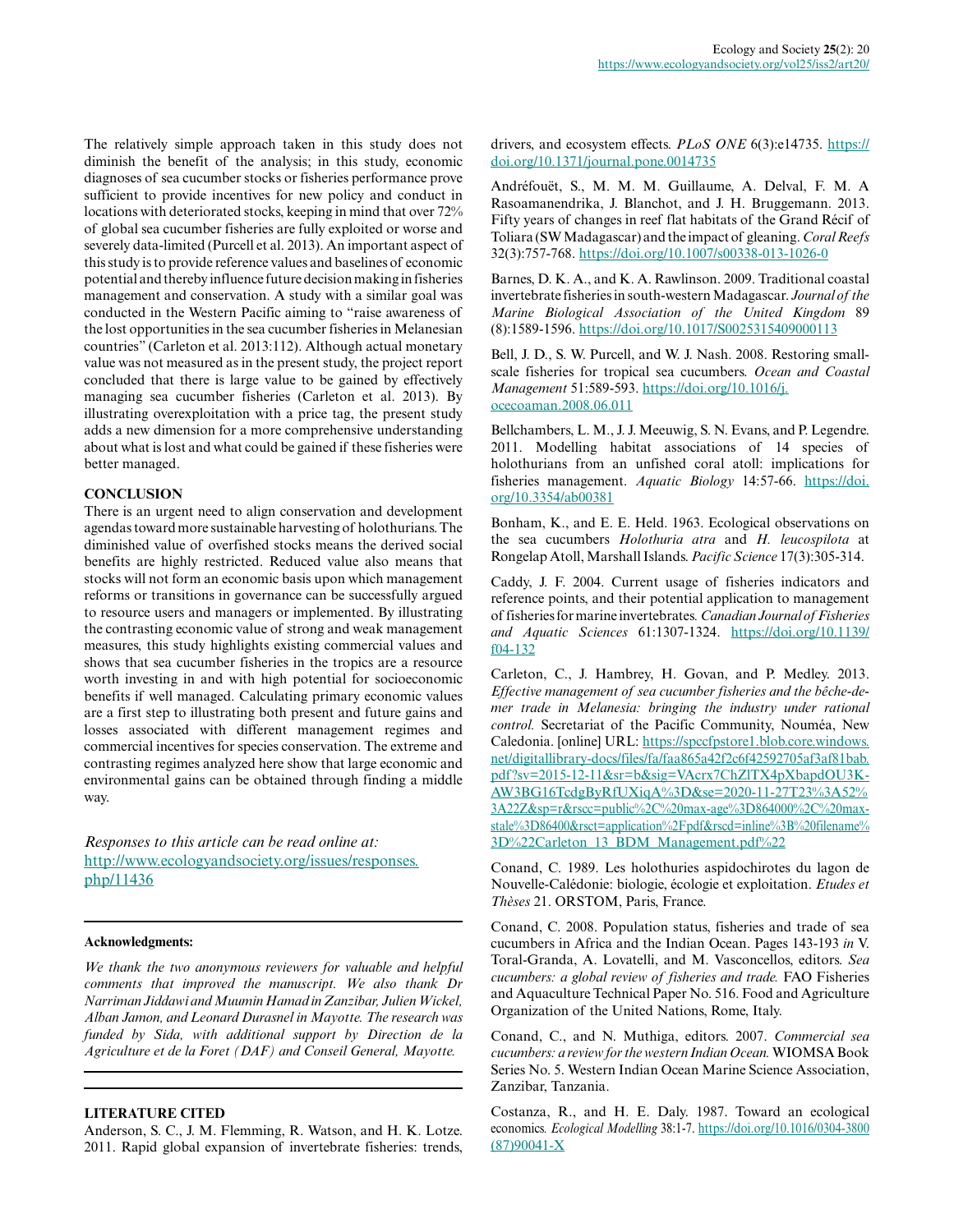The relatively simple approach taken in this study does not diminish the benefit of the analysis; in this study, economic diagnoses of sea cucumber stocks or fisheries performance prove sufficient to provide incentives for new policy and conduct in locations with deteriorated stocks, keeping in mind that over 72% of global sea cucumber fisheries are fully exploited or worse and severely data-limited (Purcell et al. 2013). An important aspect of this study is to provide reference values and baselines of economic potential and thereby influence future decision making in fisheries management and conservation. A study with a similar goal was conducted in the Western Pacific aiming to "raise awareness of the lost opportunities in the sea cucumber fisheries in Melanesian countries" (Carleton et al. 2013:112). Although actual monetary value was not measured as in the present study, the project report concluded that there is large value to be gained by effectively managing sea cucumber fisheries (Carleton et al. 2013). By illustrating overexploitation with a price tag, the present study adds a new dimension for a more comprehensive understanding about what is lost and what could be gained if these fisheries were better managed.

# **CONCLUSION**

There is an urgent need to align conservation and development agendas toward more sustainable harvesting of holothurians. The diminished value of overfished stocks means the derived social benefits are highly restricted. Reduced value also means that stocks will not form an economic basis upon which management reforms or transitions in governance can be successfully argued to resource users and managers or implemented. By illustrating the contrasting economic value of strong and weak management measures, this study highlights existing commercial values and shows that sea cucumber fisheries in the tropics are a resource worth investing in and with high potential for socioeconomic benefits if well managed. Calculating primary economic values are a first step to illustrating both present and future gains and losses associated with different management regimes and commercial incentives for species conservation. The extreme and contrasting regimes analyzed here show that large economic and environmental gains can be obtained through finding a middle way.

*Responses to this article can be read online at:* [http://www.ecologyandsociety.org/issues/responses.](http://www.ecologyandsociety.org/issues/responses.php/11436) [php/11436](http://www.ecologyandsociety.org/issues/responses.php/11436)

## **Acknowledgments:**

*We thank the two anonymous reviewers for valuable and helpful comments that improved the manuscript. We also thank Dr Narriman Jiddawi and Muumin Hamad in Zanzibar, Julien Wickel, Alban Jamon, and Leonard Durasnel in Mayotte. The research was funded by Sida, with additional support by Direction de la Agriculture et de la Foret (DAF) and Conseil General, Mayotte.*

# **LITERATURE CITED**

Anderson, S. C., J. M. Flemming, R. Watson, and H. K. Lotze. 2011. Rapid global expansion of invertebrate fisheries: trends, drivers, and ecosystem effects. *PLoS ONE* 6(3):e14735. [https://](https://doi.org/10.1371/journal.pone.0014735) [doi.org/10.1371/journal.pone.0014735](https://doi.org/10.1371/journal.pone.0014735)

Andréfouët, S., M. M. M. Guillaume, A. Delval, F. M. A Rasoamanendrika, J. Blanchot, and J. H. Bruggemann. 2013. Fifty years of changes in reef flat habitats of the Grand Récif of Toliara (SW Madagascar) and the impact of gleaning. *Coral Reefs* 32(3):757-768. <https://doi.org/10.1007/s00338-013-1026-0>

Barnes, D. K. A., and K. A. Rawlinson. 2009. Traditional coastal invertebrate fisheries in south-western Madagascar. *Journal of the Marine Biological Association of the United Kingdom* 89 (8):1589-1596. <https://doi.org/10.1017/S0025315409000113>

Bell, J. D., S. W. Purcell, and W. J. Nash. 2008. Restoring smallscale fisheries for tropical sea cucumbers. *Ocean and Coastal Management* 51:589-593. [https://doi.org/10.1016/j.](https://doi.org/10.1016/j.ocecoaman.2008.06.011) [ocecoaman.2008.06.011](https://doi.org/10.1016/j.ocecoaman.2008.06.011) 

Bellchambers, L. M., J. J. Meeuwig, S. N. Evans, and P. Legendre. 2011. Modelling habitat associations of 14 species of holothurians from an unfished coral atoll: implications for fisheries management. *Aquatic Biology* 14:57-66. [https://doi.](https://doi.org/10.3354/ab00381) [org/10.3354/ab00381](https://doi.org/10.3354/ab00381) 

Bonham, K., and E. E. Held. 1963. Ecological observations on the sea cucumbers *Holothuria atra* and *H. leucospilota* at Rongelap Atoll, Marshall Islands. *Pacific Science* 17(3):305-314.

Caddy, J. F. 2004. Current usage of fisheries indicators and reference points, and their potential application to management of fisheries for marine invertebrates*. Canadian Journal of Fisheries and Aquatic Sciences* 61:1307-1324. [https://doi.org/10.1139/](https://doi.org/10.1139/f04-132) [f04-132](https://doi.org/10.1139/f04-132)

Carleton, C., J. Hambrey, H. Govan, and P. Medley. 2013. *Effective management of sea cucumber fisheries and the bêche-demer trade in Melanesia: bringing the industry under rational control.* Secretariat of the Pacific Community, Nouméa, New Caledonia. [online] URL: [https://spccfpstore1.blob.core.windows.](https://spccfpstore1.blob.core.windows.net/digitallibrary-docs/files/fa/faa865a42f2c6f42592705af3af81bab.pdf?sv=2015-12-11&sr=b&sig=VAcrx7ChZlTX4pXbapdOU3KAW3BG16TcdgByRfUXiqA%3D&se=2020-11-27T23%3A52%3A22Z&sp=r&rscc=public%2C%20max-age%3D864000%2C%20max-stale%3D86400&rsct=application%2Fpdf&rscd=inline%3B%20filename%3D%22Carleton_13_BDM_Management.pdf%22) [net/digitallibrary-docs/files/fa/faa865a42f2c6f42592705af3af81bab.](https://spccfpstore1.blob.core.windows.net/digitallibrary-docs/files/fa/faa865a42f2c6f42592705af3af81bab.pdf?sv=2015-12-11&sr=b&sig=VAcrx7ChZlTX4pXbapdOU3KAW3BG16TcdgByRfUXiqA%3D&se=2020-11-27T23%3A52%3A22Z&sp=r&rscc=public%2C%20max-age%3D864000%2C%20max-stale%3D86400&rsct=application%2Fpdf&rscd=inline%3B%20filename%3D%22Carleton_13_BDM_Management.pdf%22) [pdf?sv=2015-12-11&sr=b&sig=VAcrx7ChZlTX4pXbapdOU3K-](https://spccfpstore1.blob.core.windows.net/digitallibrary-docs/files/fa/faa865a42f2c6f42592705af3af81bab.pdf?sv=2015-12-11&sr=b&sig=VAcrx7ChZlTX4pXbapdOU3KAW3BG16TcdgByRfUXiqA%3D&se=2020-11-27T23%3A52%3A22Z&sp=r&rscc=public%2C%20max-age%3D864000%2C%20max-stale%3D86400&rsct=application%2Fpdf&rscd=inline%3B%20filename%3D%22Carleton_13_BDM_Management.pdf%22)[AW3BG16TcdgByRfUXiqA%3D&se=2020-11-27T23%3A52%](https://spccfpstore1.blob.core.windows.net/digitallibrary-docs/files/fa/faa865a42f2c6f42592705af3af81bab.pdf?sv=2015-12-11&sr=b&sig=VAcrx7ChZlTX4pXbapdOU3KAW3BG16TcdgByRfUXiqA%3D&se=2020-11-27T23%3A52%3A22Z&sp=r&rscc=public%2C%20max-age%3D864000%2C%20max-stale%3D86400&rsct=application%2Fpdf&rscd=inline%3B%20filename%3D%22Carleton_13_BDM_Management.pdf%22) [3A22Z&sp=r&rscc=public%2C%20max-age%3D864000%2C%20max](https://spccfpstore1.blob.core.windows.net/digitallibrary-docs/files/fa/faa865a42f2c6f42592705af3af81bab.pdf?sv=2015-12-11&sr=b&sig=VAcrx7ChZlTX4pXbapdOU3KAW3BG16TcdgByRfUXiqA%3D&se=2020-11-27T23%3A52%3A22Z&sp=r&rscc=public%2C%20max-age%3D864000%2C%20max-stale%3D86400&rsct=application%2Fpdf&rscd=inline%3B%20filename%3D%22Carleton_13_BDM_Management.pdf%22)[stale%3D86400&rsct=application%2Fpdf&rscd=inline%3B%20filename%](https://spccfpstore1.blob.core.windows.net/digitallibrary-docs/files/fa/faa865a42f2c6f42592705af3af81bab.pdf?sv=2015-12-11&sr=b&sig=VAcrx7ChZlTX4pXbapdOU3KAW3BG16TcdgByRfUXiqA%3D&se=2020-11-27T23%3A52%3A22Z&sp=r&rscc=public%2C%20max-age%3D864000%2C%20max-stale%3D86400&rsct=application%2Fpdf&rscd=inline%3B%20filename%3D%22Carleton_13_BDM_Management.pdf%22) [3D%22Carleton\\_13\\_BDM\\_Management.pdf%22](https://spccfpstore1.blob.core.windows.net/digitallibrary-docs/files/fa/faa865a42f2c6f42592705af3af81bab.pdf?sv=2015-12-11&sr=b&sig=VAcrx7ChZlTX4pXbapdOU3KAW3BG16TcdgByRfUXiqA%3D&se=2020-11-27T23%3A52%3A22Z&sp=r&rscc=public%2C%20max-age%3D864000%2C%20max-stale%3D86400&rsct=application%2Fpdf&rscd=inline%3B%20filename%3D%22Carleton_13_BDM_Management.pdf%22)

Conand, C. 1989. Les holothuries aspidochirotes du lagon de Nouvelle-Calédonie: biologie, écologie et exploitation. *Etudes et Thèses* 21. ORSTOM, Paris, France.

Conand, C. 2008. Population status, fisheries and trade of sea cucumbers in Africa and the Indian Ocean. Pages 143-193 *in* V. Toral-Granda, A. Lovatelli, and M. Vasconcellos, editors. *Sea cucumbers: a global review of fisheries and trade.* FAO Fisheries and Aquaculture Technical Paper No. 516. Food and Agriculture Organization of the United Nations, Rome, Italy.

Conand, C., and N. Muthiga, editors. 2007. *Commercial sea cucumbers: a review for the western Indian Ocean.* WIOMSA Book Series No. 5. Western Indian Ocean Marine Science Association, Zanzibar, Tanzania.

Costanza, R., and H. E. Daly. 1987. Toward an ecological economics*. Ecological Modelling* 38:1-7. [https://doi.org/10.1016/0304-3800](https://doi.org/10.1016/0304-3800(87)90041-X) [\(87\)90041-X](https://doi.org/10.1016/0304-3800(87)90041-X)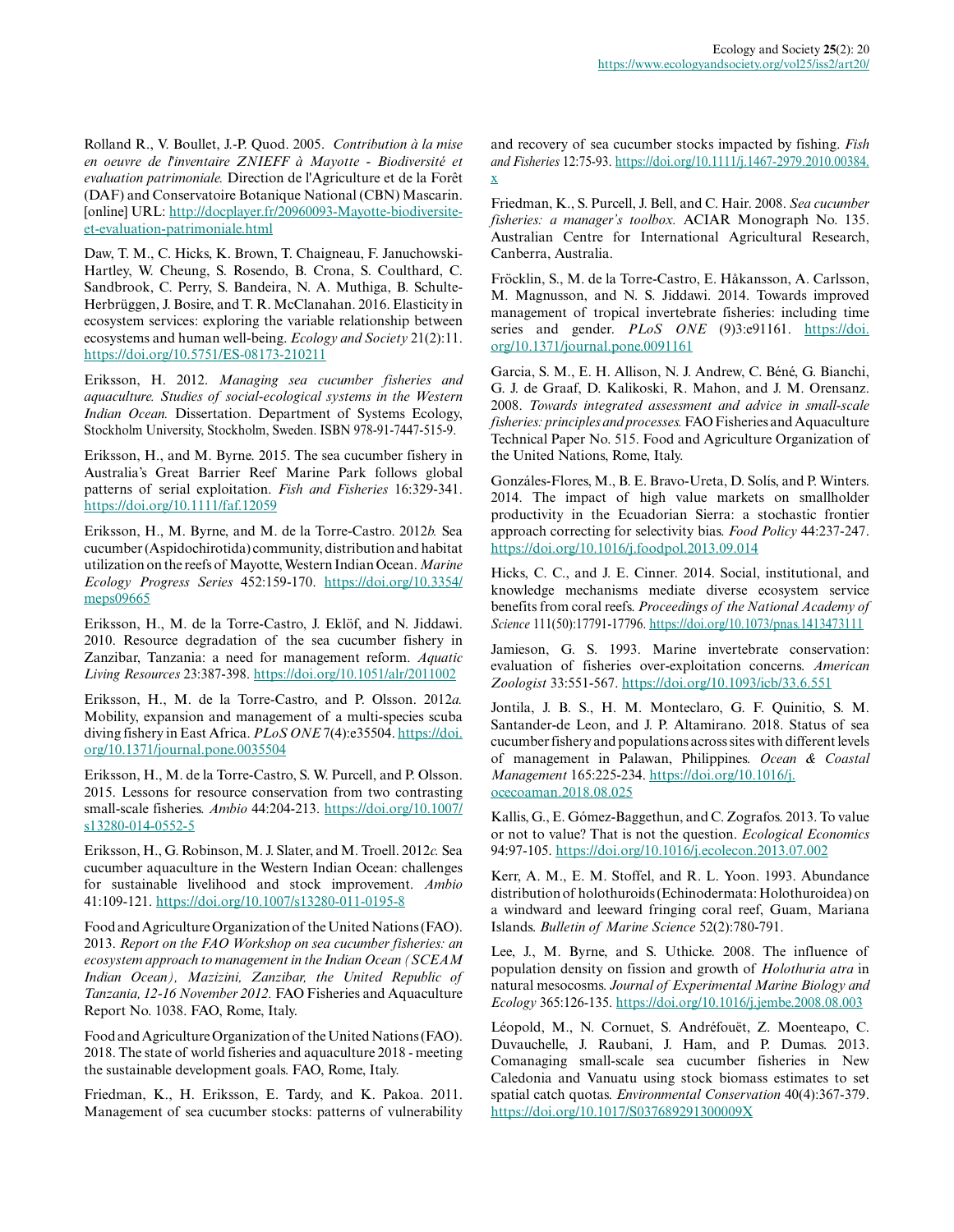Rolland R., V. Boullet, J.-P. Quod. 2005. *Contribution à la mise en oeuvre de l'inventaire ZNIEFF à Mayotte - Biodiversité et evaluation patrimoniale.* Direction de l'Agriculture et de la Forêt (DAF) and Conservatoire Botanique National (CBN) Mascarin. [online] URL: [http://docplayer.fr/20960093-Mayotte-biodiversite](http://docplayer.fr/20960093-Mayotte-biodiversite-et-evaluation-patrimoniale.html)[et-evaluation-patrimoniale.html](http://docplayer.fr/20960093-Mayotte-biodiversite-et-evaluation-patrimoniale.html)

Daw, T. M., C. Hicks, K. Brown, T. Chaigneau, F. Januchowski-Hartley, W. Cheung, S. Rosendo, B. Crona, S. Coulthard, C. Sandbrook, C. Perry, S. Bandeira, N. A. Muthiga, B. Schulte-Herbrüggen, J. Bosire, and T. R. McClanahan. 2016. Elasticity in ecosystem services: exploring the variable relationship between ecosystems and human well-being. *Ecology and Society* 21(2):11. <https://doi.org/10.5751/ES-08173-210211>

Eriksson, H. 2012. *Managing sea cucumber fisheries and aquaculture. Studies of social-ecological systems in the Western Indian Ocean.* Dissertation. Department of Systems Ecology, Stockholm University, Stockholm, Sweden. ISBN 978-91-7447-515-9.

Eriksson, H., and M. Byrne. 2015. The sea cucumber fishery in Australia's Great Barrier Reef Marine Park follows global patterns of serial exploitation. *Fish and Fisheries* 16:329-341. <https://doi.org/10.1111/faf.12059>

Eriksson, H., M. Byrne, and M. de la Torre-Castro. 2012*b.* Sea cucumber (Aspidochirotida) community, distribution and habitat utilization on the reefs of Mayotte, Western Indian Ocean. *Marine Ecology Progress Series* 452:159-170. [https://doi.org/10.3354/](https://doi.org/10.3354/meps09665) [meps09665](https://doi.org/10.3354/meps09665)

Eriksson, H., M. de la Torre-Castro, J. Eklöf, and N. Jiddawi. 2010. Resource degradation of the sea cucumber fishery in Zanzibar, Tanzania: a need for management reform. *Aquatic Living Resources* 23:387-398. <https://doi.org/10.1051/alr/2011002>

Eriksson, H., M. de la Torre-Castro, and P. Olsson. 2012*a.* Mobility, expansion and management of a multi-species scuba diving fishery in East Africa. *PLoS ONE* 7(4):e35504. [https://doi.](https://doi.org/10.1371/journal.pone.0035504) [org/10.1371/journal.pone.0035504](https://doi.org/10.1371/journal.pone.0035504) 

Eriksson, H., M. de la Torre-Castro, S. W. Purcell, and P. Olsson. 2015. Lessons for resource conservation from two contrasting small-scale fisheries. *Ambio* 44:204-213. [https://doi.org/10.1007/](https://doi.org/10.1007/s13280-014-0552-5) [s13280-014-0552-5](https://doi.org/10.1007/s13280-014-0552-5) 

Eriksson, H., G. Robinson, M. J. Slater, and M. Troell. 2012*c.* Sea cucumber aquaculture in the Western Indian Ocean: challenges for sustainable livelihood and stock improvement. *Ambio* 41:109-121.<https://doi.org/10.1007/s13280-011-0195-8>

Food and Agriculture Organization of the United Nations (FAO). 2013. *Report on the FAO Workshop on sea cucumber fisheries: an ecosystem approach to management in the Indian Ocean (SCEAM Indian Ocean), Mazizini, Zanzibar, the United Republic of Tanzania, 12-16 November 2012.* FAO Fisheries and Aquaculture Report No. 1038. FAO, Rome, Italy.

Food and Agriculture Organization of the United Nations (FAO). 2018. The state of world fisheries and aquaculture 2018 - meeting the sustainable development goals. FAO, Rome, Italy.

Friedman, K., H. Eriksson, E. Tardy, and K. Pakoa. 2011. Management of sea cucumber stocks: patterns of vulnerability and recovery of sea cucumber stocks impacted by fishing. *Fish and Fisheries* 12:75-93. [https://doi.org/10.1111/j.1467-2979.2010.00384.](https://doi.org/10.1111/j.1467-2979.2010.00384.x) [x](https://doi.org/10.1111/j.1467-2979.2010.00384.x) 

Friedman, K., S. Purcell, J. Bell, and C. Hair. 2008. *Sea cucumber fisheries: a manager's toolbox.* ACIAR Monograph No. 135. Australian Centre for International Agricultural Research, Canberra, Australia.

Fröcklin, S., M. de la Torre-Castro, E. Håkansson, A. Carlsson, M. Magnusson, and N. S. Jiddawi. 2014. Towards improved management of tropical invertebrate fisheries: including time series and gender. *PLoS ONE* (9)3:e91161. [https://doi.](https://doi.org/10.1371/journal.pone.0091161) [org/10.1371/journal.pone.0091161](https://doi.org/10.1371/journal.pone.0091161) 

Garcia, S. M., E. H. Allison, N. J. Andrew, C. Béné, G. Bianchi, G. J. de Graaf, D. Kalikoski, R. Mahon, and J. M. Orensanz. 2008. *Towards integrated assessment and advice in small-scale fisheries: principles and processes.* FAO Fisheries and Aquaculture Technical Paper No. 515. Food and Agriculture Organization of the United Nations, Rome, Italy.

Gonzáles-Flores, M., B. E. Bravo-Ureta, D. Solís, and P. Winters. 2014. The impact of high value markets on smallholder productivity in the Ecuadorian Sierra: a stochastic frontier approach correcting for selectivity bias. *Food Policy* 44:237-247. <https://doi.org/10.1016/j.foodpol.2013.09.014>

Hicks, C. C., and J. E. Cinner. 2014. Social, institutional, and knowledge mechanisms mediate diverse ecosystem service benefits from coral reefs. *Proceedings of the National Academy of Science* 111(50):17791-17796. <https://doi.org/10.1073/pnas.1413473111>

Jamieson, G. S. 1993. Marine invertebrate conservation: evaluation of fisheries over-exploitation concerns. *American Zoologist* 33:551-567.<https://doi.org/10.1093/icb/33.6.551>

Jontila, J. B. S., H. M. Monteclaro, G. F. Quinitio, S. M. Santander-de Leon, and J. P. Altamirano. 2018. Status of sea cucumber fishery and populations across sites with different levels of management in Palawan, Philippines. *Ocean & Coastal Management* 165:225-234. [https://doi.org/10.1016/j.](https://doi.org/10.1016/j.ocecoaman.2018.08.025) [ocecoaman.2018.08.025](https://doi.org/10.1016/j.ocecoaman.2018.08.025) 

Kallis, G., E. Gómez-Baggethun, and C. Zografos. 2013. To value or not to value? That is not the question. *Ecological Economics* 94:97-105. <https://doi.org/10.1016/j.ecolecon.2013.07.002>

Kerr, A. M., E. M. Stoffel, and R. L. Yoon. 1993. Abundance distribution of holothuroids (Echinodermata: Holothuroidea) on a windward and leeward fringing coral reef, Guam, Mariana Islands. *Bulletin of Marine Science* 52(2):780-791.

Lee, J., M. Byrne, and S. Uthicke. 2008. The influence of population density on fission and growth of *Holothuria atra* in natural mesocosms. *Journal of Experimental Marine Biology and Ecology* 365:126-135.<https://doi.org/10.1016/j.jembe.2008.08.003>

Léopold, M., N. Cornuet, S. Andréfouët, Z. Moenteapo, C. Duvauchelle, J. Raubani, J. Ham, and P. Dumas. 2013. Comanaging small-scale sea cucumber fisheries in New Caledonia and Vanuatu using stock biomass estimates to set spatial catch quotas. *Environmental Conservation* 40(4):367-379. <https://doi.org/10.1017/S037689291300009X>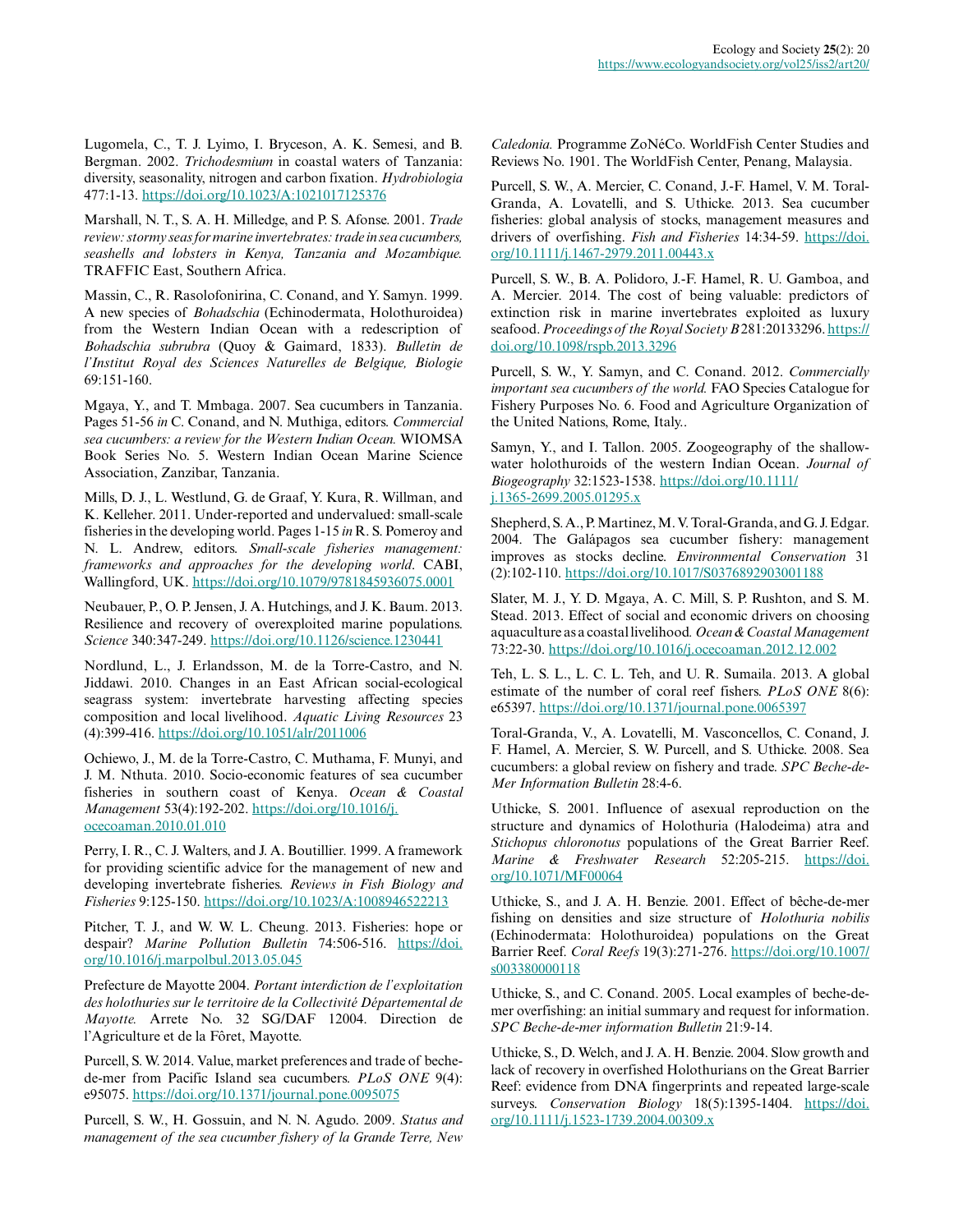Lugomela, C., T. J. Lyimo, I. Bryceson, A. K. Semesi, and B. Bergman. 2002. *Trichodesmium* in coastal waters of Tanzania: diversity, seasonality, nitrogen and carbon fixation. *Hydrobiologia* 477:1-13.<https://doi.org/10.1023/A:1021017125376>

Marshall, N. T., S. A. H. Milledge, and P. S. Afonse. 2001. *Trade review: stormy seas for marine invertebrates: trade in sea cucumbers, seashells and lobsters in Kenya, Tanzania and Mozambique.* TRAFFIC East, Southern Africa.

Massin, C., R. Rasolofonirina, C. Conand, and Y. Samyn. 1999. A new species of *Bohadschia* (Echinodermata, Holothuroidea) from the Western Indian Ocean with a redescription of *Bohadschia subrubra* (Quoy & Gaimard, 1833). *Bulletin de l'Institut Royal des Sciences Naturelles de Belgique, Biologie* 69:151-160.

Mgaya, Y., and T. Mmbaga. 2007. Sea cucumbers in Tanzania. Pages 51-56 *in* C. Conand, and N. Muthiga, editors. *Commercial sea cucumbers: a review for the Western Indian Ocean.* WIOMSA Book Series No. 5. Western Indian Ocean Marine Science Association, Zanzibar, Tanzania.

Mills, D. J., L. Westlund, G. de Graaf, Y. Kura, R. Willman, and K. Kelleher. 2011. Under-reported and undervalued: small-scale fisheries in the developing world. Pages 1-15 *in* R. S. Pomeroy and N. L. Andrew, editors. *Small-scale fisheries management: frameworks and approaches for the developing world*. CABI, Wallingford, UK. <https://doi.org/10.1079/9781845936075.0001>

Neubauer, P., O. P. Jensen, J. A. Hutchings, and J. K. Baum. 2013. Resilience and recovery of overexploited marine populations. *Science* 340:347-249.<https://doi.org/10.1126/science.1230441>

Nordlund, L., J. Erlandsson, M. de la Torre-Castro, and N. Jiddawi. 2010. Changes in an East African social-ecological seagrass system: invertebrate harvesting affecting species composition and local livelihood. *Aquatic Living Resources* 23 (4):399-416. <https://doi.org/10.1051/alr/2011006>

Ochiewo, J., M. de la Torre-Castro, C. Muthama, F. Munyi, and J. M. Nthuta. 2010. Socio-economic features of sea cucumber fisheries in southern coast of Kenya. *Ocean & Coastal Management* 53(4):192-202. [https://doi.org/10.1016/j.](https://doi.org/10.1016/j.ocecoaman.2010.01.010) [ocecoaman.2010.01.010](https://doi.org/10.1016/j.ocecoaman.2010.01.010) 

Perry, I. R., C. J. Walters, and J. A. Boutillier. 1999. A framework for providing scientific advice for the management of new and developing invertebrate fisheries. *Reviews in Fish Biology and Fisheries* 9:125-150. <https://doi.org/10.1023/A:1008946522213>

Pitcher, T. J., and W. W. L. Cheung. 2013. Fisheries: hope or despair? *Marine Pollution Bulletin* 74:506-516. [https://doi.](https://doi.org/10.1016/j.marpolbul.2013.05.045) [org/10.1016/j.marpolbul.2013.05.045](https://doi.org/10.1016/j.marpolbul.2013.05.045) 

Prefecture de Mayotte 2004. *Portant interdiction de l'exploitation des holothuries sur le territoire de la Collectivité Départemental de Mayotte.* Arrete No. 32 SG/DAF 12004. Direction de l'Agriculture et de la Fôret, Mayotte.

Purcell, S. W. 2014. Value, market preferences and trade of bechede-mer from Pacific Island sea cucumbers. *PLoS ONE* 9(4): e95075.<https://doi.org/10.1371/journal.pone.0095075>

Purcell, S. W., H. Gossuin, and N. N. Agudo. 2009. *Status and management of the sea cucumber fishery of la Grande Terre, New*

*Caledonia.* Programme ZoNéCo. WorldFish Center Studies and Reviews No. 1901. The WorldFish Center, Penang, Malaysia.

Purcell, S. W., A. Mercier, C. Conand, J.-F. Hamel, V. M. Toral-Granda, A. Lovatelli, and S. Uthicke. 2013. Sea cucumber fisheries: global analysis of stocks, management measures and drivers of overfishing. *Fish and Fisheries* 14:34-59. [https://doi.](https://doi.org/10.1111/j.1467-2979.2011.00443.x) [org/10.1111/j.1467-2979.2011.00443.x](https://doi.org/10.1111/j.1467-2979.2011.00443.x)

Purcell, S. W., B. A. Polidoro, J.-F. Hamel, R. U. Gamboa, and A. Mercier. 2014. The cost of being valuable: predictors of extinction risk in marine invertebrates exploited as luxury seafood. Proceedings of the Royal Society B281:20133296. [https://](https://doi.org/10.1098/rspb.2013.3296) [doi.org/10.1098/rspb.2013.3296](https://doi.org/10.1098/rspb.2013.3296)

Purcell, S. W., Y. Samyn, and C. Conand. 2012. *Commercially important sea cucumbers of the world.* FAO Species Catalogue for Fishery Purposes No. 6. Food and Agriculture Organization of the United Nations, Rome, Italy..

Samyn, Y., and I. Tallon. 2005. Zoogeography of the shallowwater holothuroids of the western Indian Ocean. *Journal of Biogeography* 32:1523-1538. [https://doi.org/10.1111/](https://doi.org/10.1111/j.1365-2699.2005.01295.x) [j.1365-2699.2005.01295.x](https://doi.org/10.1111/j.1365-2699.2005.01295.x)

Shepherd, S. A., P. Martinez, M. V. Toral-Granda, and G. J. Edgar. 2004. The Galápagos sea cucumber fishery: management improves as stocks decline. *Environmental Conservation* 31 (2):102-110. <https://doi.org/10.1017/S0376892903001188>

Slater, M. J., Y. D. Mgaya, A. C. Mill, S. P. Rushton, and S. M. Stead. 2013. Effect of social and economic drivers on choosing aquaculture as a coastal livelihood*. Ocean & Coastal Management* 73:22-30.<https://doi.org/10.1016/j.ocecoaman.2012.12.002>

Teh, L. S. L., L. C. L. Teh, and U. R. Sumaila. 2013. A global estimate of the number of coral reef fishers. *PLoS ONE* 8(6): e65397.<https://doi.org/10.1371/journal.pone.0065397>

Toral-Granda, V., A. Lovatelli, M. Vasconcellos, C. Conand, J. F. Hamel, A. Mercier, S. W. Purcell, and S. Uthicke. 2008. Sea cucumbers: a global review on fishery and trade. *SPC Beche-de-Mer Information Bulletin* 28:4-6.

Uthicke, S. 2001. Influence of asexual reproduction on the structure and dynamics of Holothuria (Halodeima) atra and *Stichopus chloronotus* populations of the Great Barrier Reef. *Marine & Freshwater Research* 52:205-215. [https://doi.](https://doi.org/10.1071/MF00064) [org/10.1071/MF00064](https://doi.org/10.1071/MF00064) 

Uthicke, S., and J. A. H. Benzie. 2001. Effect of bêche-de-mer fishing on densities and size structure of *Holothuria nobilis* (Echinodermata: Holothuroidea) populations on the Great Barrier Reef. *Coral Reefs* 19(3):271-276. [https://doi.org/10.1007/](https://doi.org/10.1007/s003380000118) [s003380000118](https://doi.org/10.1007/s003380000118)

Uthicke, S., and C. Conand. 2005. Local examples of beche-demer overfishing: an initial summary and request for information. *SPC Beche-de-mer information Bulletin* 21:9-14.

Uthicke, S., D. Welch, and J. A. H. Benzie. 2004. Slow growth and lack of recovery in overfished Holothurians on the Great Barrier Reef: evidence from DNA fingerprints and repeated large-scale surveys. *Conservation Biology* 18(5):1395-1404. [https://doi.](https://doi.org/10.1111/j.1523-1739.2004.00309.x) [org/10.1111/j.1523-1739.2004.00309.x](https://doi.org/10.1111/j.1523-1739.2004.00309.x)